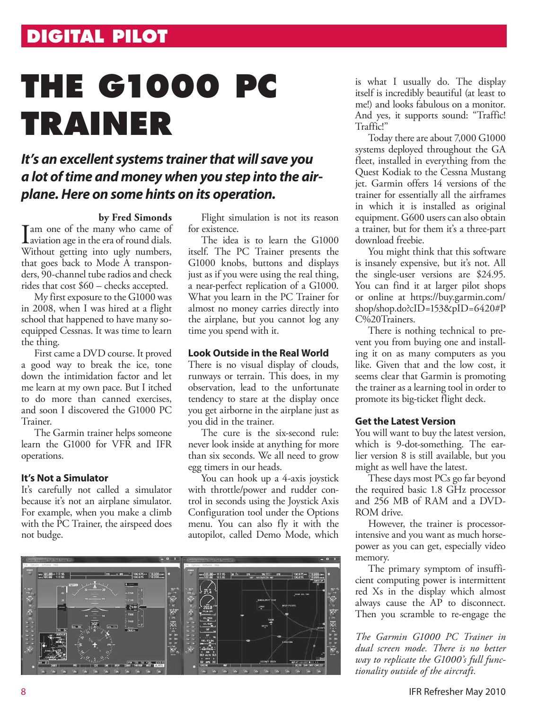# **DIGITAL PILOT**

# **THE G1000 PC TRAINER**

# *It's an excellent systems trainer that will save you a lot of time and money when you step into the airplane. Here on some hints on its operation.*

**by Fred Simonds**<br>**Tam one of the many who came of** I am one of the many who came of<br>aviation age in the era of round dials. Without getting into ugly numbers, that goes back to Mode A transponders, 90-channel tube radios and check rides that cost \$60 – checks accepted.

My first exposure to the G1000 was in 2008, when I was hired at a flight school that happened to have many soequipped Cessnas. It was time to learn the thing.

First came a DVD course. It proved a good way to break the ice, tone down the intimidation factor and let me learn at my own pace. But I itched to do more than canned exercises, and soon I discovered the G1000 PC Trainer.

The Garmin trainer helps someone learn the G1000 for VFR and IFR operations.

# **It's Not a Simulator**

It's carefully not called a simulator because it's not an airplane simulator. For example, when you make a climb with the PC Trainer, the airspeed does not budge.

Flight simulation is not its reason for existence.

The idea is to learn the G1000 itself. The PC Trainer presents the G1000 knobs, buttons and displays just as if you were using the real thing, a near-perfect replication of a G1000. What you learn in the PC Trainer for almost no money carries directly into the airplane, but you cannot log any time you spend with it.

#### **Look Outside in the Real World**

There is no visual display of clouds, runways or terrain. This does, in my observation, lead to the unfortunate tendency to stare at the display once you get airborne in the airplane just as you did in the trainer.

The cure is the six-second rule: never look inside at anything for more than six seconds. We all need to grow egg timers in our heads.

You can hook up a 4-axis joystick with throttle/power and rudder control in seconds using the Joystick Axis Configuration tool under the Options menu. You can also fly it with the autopilot, called Demo Mode, which



is what I usually do. The display itself is incredibly beautiful (at least to me!) and looks fabulous on a monitor. And yes, it supports sound: "Traffic! Traffic!"

Today there are about 7,000 G1000 systems deployed throughout the GA fleet, installed in everything from the Quest Kodiak to the Cessna Mustang jet. Garmin offers 14 versions of the trainer for essentially all the airframes in which it is installed as original equipment. G600 users can also obtain a trainer, but for them it's a three-part download freebie.

You might think that this software is insanely expensive, but it's not. All the single-user versions are \$24.95. You can find it at larger pilot shops or online at https://buy.garmin.com/ shop/shop.do?cID=153&pID=6420#P C%20Trainers.

There is nothing technical to prevent you from buying one and installing it on as many computers as you like. Given that and the low cost, it seems clear that Garmin is promoting the trainer as a learning tool in order to promote its big-ticket flight deck.

#### **Get the Latest Version**

You will want to buy the latest version, which is 9-dot-something. The earlier version 8 is still available, but you might as well have the latest.

These days most PCs go far beyond the required basic 1.8 GHz processor and 256 MB of RAM and a DVD-ROM drive.

However, the trainer is processorintensive and you want as much horsepower as you can get, especially video memory.

The primary symptom of insufficient computing power is intermittent red Xs in the display which almost always cause the AP to disconnect. Then you scramble to re-engage the

*The Garmin G1000 PC Trainer in dual screen mode. There is no better way to replicate the G1000's full functionality outside of the aircraft.*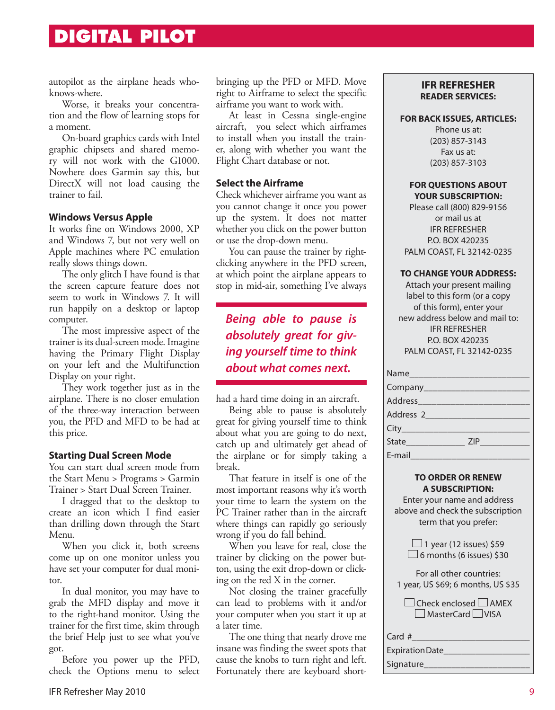# **DIGITAL PILOT**

autopilot as the airplane heads whoknows-where.

Worse, it breaks your concentration and the flow of learning stops for a moment.

On-board graphics cards with Intel graphic chipsets and shared memory will not work with the G1000. Nowhere does Garmin say this, but DirectX will not load causing the trainer to fail.

## **Windows Versus Apple**

It works fine on Windows 2000, XP and Windows 7, but not very well on Apple machines where PC emulation really slows things down.

The only glitch I have found is that the screen capture feature does not seem to work in Windows 7. It will run happily on a desktop or laptop computer.

The most impressive aspect of the trainer is its dual-screen mode. Imagine having the Primary Flight Display on your left and the Multifunction Display on your right.

They work together just as in the airplane. There is no closer emulation of the three-way interaction between you, the PFD and MFD to be had at this price.

# **Starting Dual Screen Mode**

You can start dual screen mode from the Start Menu > Programs > Garmin Trainer > Start Dual Screen Trainer.

I dragged that to the desktop to create an icon which I find easier than drilling down through the Start Menu.

When you click it, both screens come up on one monitor unless you have set your computer for dual monitor.

In dual monitor, you may have to grab the MFD display and move it to the right-hand monitor. Using the trainer for the first time, skim through the brief Help just to see what you've got.

Before you power up the PFD, check the Options menu to select bringing up the PFD or MFD. Move right to Airframe to select the specific airframe you want to work with.

At least in Cessna single-engine aircraft, you select which airframes to install when you install the trainer, along with whether you want the Flight Chart database or not.

# **Select the Airframe**

Check whichever airframe you want as you cannot change it once you power up the system. It does not matter whether you click on the power button or use the drop-down menu.

You can pause the trainer by rightclicking anywhere in the PFD screen, at which point the airplane appears to stop in mid-air, something I've always

# *Being able to pause is absolutely great for giving yourself time to think about what comes next.*

had a hard time doing in an aircraft.

Being able to pause is absolutely great for giving yourself time to think about what you are going to do next, catch up and ultimately get ahead of the airplane or for simply taking a break.

That feature in itself is one of the most important reasons why it's worth your time to learn the system on the PC Trainer rather than in the aircraft where things can rapidly go seriously wrong if you do fall behind.

When you leave for real, close the trainer by clicking on the power button, using the exit drop-down or clicking on the red X in the corner.

Not closing the trainer gracefully can lead to problems with it and/or your computer when you start it up at a later time.

The one thing that nearly drove me insane was finding the sweet spots that cause the knobs to turn right and left. Fortunately there are keyboard short-

# **IFR REFRESHER READER SERVICES:**

#### **FOR BACK ISSUES, ARTICLES:**

Phone us at: (203) 857-3143 Fax us at: (203) 857-3103

#### **FOR QUESTIONS ABOUT YOUR SUBSCRIPTION:**

Please call (800) 829-9156 or mail us at IFR REFRESHER P.O. BOX 420235 PALM COAST, FL 32142-0235

#### **TO CHANGE YOUR ADDRESS:**

Attach your present mailing label to this form (or a copy of this form), enter your new address below and mail to: IFR REFRESHER P.O. BOX 420235 PALM COAST, FL 32142-0235

| City   |     |
|--------|-----|
|        | ZIP |
| E-mail |     |

#### **TO ORDER OR RENEW A SUBSCRIPTION:**

Enter your name and address above and check the subscription term that you prefer:

> $\Box$  1 year (12 issues) \$59  $\Box$  6 months (6 issues) \$30

| For all other countries:           |
|------------------------------------|
| 1 year, US \$69; 6 months, US \$35 |

| $\Box$ Check enclosed $\Box$ AMEX |
|-----------------------------------|
| $\Box$ MasterCard $\Box$ VISA     |

## Card #

 $\Box$ 

Expiration Date\_\_\_\_\_\_\_\_\_\_\_\_\_\_\_\_\_\_\_